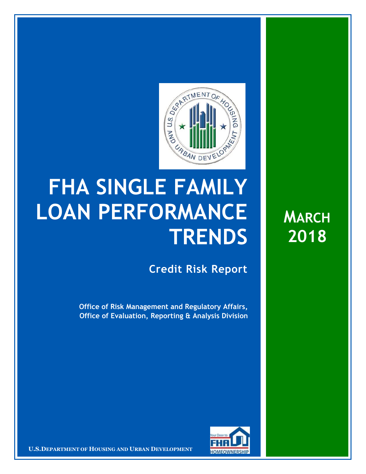

## **FHA SINGLE FAMILY LOAN PERFORMANCE TRENDS**

**Credit Risk Report**

**Office of Risk Management and Regulatory Affairs, Office of Evaluation, Reporting & Analysis Division**



18 April 20181 **Confidential| For Internal Use Only** 1 **U.S.DEPARTMENT OF HOUSING AND URBAN DEVELOPMENT**

**MARCH 2018**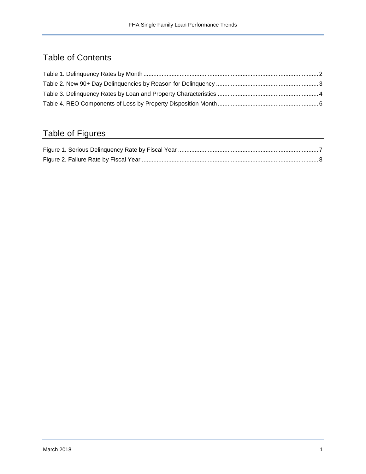## Table of Contents

## Table of Figures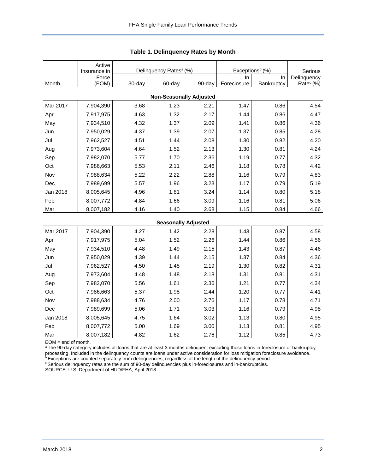<span id="page-2-0"></span>

|                                | Active<br>Insurance in |        | Delinquency Rates <sup>a</sup> (%) |                            | Exceptions <sup>b</sup> (%) | Serious    |                       |  |  |  |  |
|--------------------------------|------------------------|--------|------------------------------------|----------------------------|-----------------------------|------------|-----------------------|--|--|--|--|
|                                | Force                  |        |                                    |                            | ln.                         | In.        | Delinquency           |  |  |  |  |
| Month                          | (EOM)                  | 30-day | 60-day                             | 90-day                     | Foreclosure                 | Bankruptcy | Rate <sup>c</sup> (%) |  |  |  |  |
| <b>Non-Seasonally Adjusted</b> |                        |        |                                    |                            |                             |            |                       |  |  |  |  |
| Mar 2017                       | 7,904,390              | 3.68   | 1.23                               | 2.21                       | 1.47                        | 0.86       | 4.54                  |  |  |  |  |
| Apr                            | 7,917,975              | 4.63   | 1.32                               | 2.17                       | 1.44                        | 0.86       | 4.47                  |  |  |  |  |
| May                            | 7,934,510              | 4.32   | 1.37                               | 2.09                       | 1.41                        | 0.86       | 4.36                  |  |  |  |  |
| Jun                            | 7,950,029              | 4.37   | 1.39                               | 2.07                       | 1.37                        | 0.85       | 4.28                  |  |  |  |  |
| Jul                            | 7,962,527              | 4.51   | 1.44                               | 2.08                       | 1.30                        | 0.82       | 4.20                  |  |  |  |  |
| Aug                            | 7,973,604              | 4.64   | 1.52                               | 2.13                       | 1.30                        | 0.81       | 4.24                  |  |  |  |  |
| Sep                            | 7,982,070              | 5.77   | 1.70                               | 2.36                       | 1.19                        | 0.77       | 4.32                  |  |  |  |  |
| Oct                            | 7,986,663              | 5.53   | 2.11                               | 2.46                       | 1.18                        | 0.78       | 4.42                  |  |  |  |  |
| Nov                            | 7,988,634              | 5.22   | 2.22                               | 2.88                       | 1.16                        | 0.79       | 4.83                  |  |  |  |  |
| Dec                            | 7,989,699              | 5.57   | 1.96                               | 3.23                       | 1.17                        | 0.79       | 5.19                  |  |  |  |  |
| Jan 2018                       | 8,005,645              | 4.96   | 1.81                               | 3.24                       | 1.14                        | 0.80       | 5.18                  |  |  |  |  |
| Feb                            | 8,007,772              | 4.84   | 1.66                               | 3.09                       | 1.16                        | 0.81       | 5.06                  |  |  |  |  |
| Mar                            | 8,007,182              | 4.16   | 1.40                               | 2.68                       | 1.15                        | 0.84       | 4.66                  |  |  |  |  |
|                                |                        |        |                                    | <b>Seasonally Adjusted</b> |                             |            |                       |  |  |  |  |
| Mar 2017                       | 7,904,390              | 4.27   | 1.42                               | 2.28                       | 1.43                        | 0.87       | 4.58                  |  |  |  |  |
| Apr                            | 7,917,975              | 5.04   | 1.52                               | 2.26                       | 1.44                        | 0.86       | 4.56                  |  |  |  |  |
| May                            | 7,934,510              | 4.48   | 1.49                               | 2.15                       | 1.43                        | 0.87       | 4.46                  |  |  |  |  |
| Jun                            | 7,950,029              | 4.39   | 1.44                               | 2.15                       | 1.37                        | 0.84       | 4.36                  |  |  |  |  |
| Jul                            | 7,962,527              | 4.50   | 1.45                               | 2.19                       | 1.30                        | 0.82       | 4.31                  |  |  |  |  |
| Aug                            | 7,973,604              | 4.48   | 1.48                               | 2.18                       | 1.31                        | 0.81       | 4.31                  |  |  |  |  |
| Sep                            | 7,982,070              | 5.56   | 1.61                               | 2.36                       | 1.21                        | 0.77       | 4.34                  |  |  |  |  |
| Oct                            | 7,986,663              | 5.37   | 1.98                               | 2.44                       | 1.20                        | 0.77       | 4.41                  |  |  |  |  |
| Nov                            | 7,988,634              | 4.76   | 2.00                               | 2.76                       | 1.17                        | 0.78       | 4.71                  |  |  |  |  |
| Dec                            | 7,989,699              | 5.06   | 1.71                               | 3.03                       | 1.16                        | 0.79       | 4.98                  |  |  |  |  |
| Jan 2018                       | 8,005,645              | 4.75   | 1.64                               | 3.02                       | 1.13                        | 0.80       | 4.95                  |  |  |  |  |
| Feb                            | 8,007,772              | 5.00   | 1.69                               | 3.00                       | 1.13                        | 0.81       | 4.95                  |  |  |  |  |
| Mar                            | 8,007,182              | 4.82   | 1.62                               | 2.76                       | 1.12                        | 0.85       | 4.73                  |  |  |  |  |

**Table 1. Delinquency Rates by Month**

EOM = end of month.

a The 90-day category includes all loans that are at least 3 months delinquent excluding those loans in foreclosure or bankruptcy processing. Included in the delinquency counts are loans under active consideration for loss mitigation foreclosure avoidance.

**bExceptions are counted separately from delinquencies, regardless of the length of the delinquency period.** 

<sup>c</sup> Serious delinquency rates are the sum of 90-day delinquencies plus in-foreclosures and in-bankruptcies.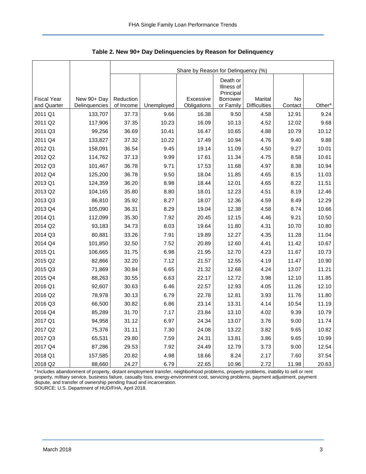|                                   |                              | Share by Reason for Delinquency (%) |            |                          |                                     |                                |               |                    |  |  |  |
|-----------------------------------|------------------------------|-------------------------------------|------------|--------------------------|-------------------------------------|--------------------------------|---------------|--------------------|--|--|--|
|                                   |                              |                                     |            |                          | Death or<br>Illness of<br>Principal |                                |               |                    |  |  |  |
| <b>Fiscal Year</b><br>and Quarter | New 90+ Day<br>Delinquencies | Reduction<br>of Income              | Unemployed | Excessive<br>Obligations | <b>Borrower</b><br>or Family        | Marital<br><b>Difficulties</b> | No<br>Contact | Other <sup>a</sup> |  |  |  |
| 2011 Q1                           | 133,707                      | 37.73                               | 9.66       | 16.38                    | 9.50                                | 4.58                           | 12.91         | 9.24               |  |  |  |
| 2011 Q2                           | 117,906                      | 37.35                               | 10.23      | 16.09                    | 10.13                               | 4.52                           | 12.02         | 9.68               |  |  |  |
| 2011 Q3                           | 99,256                       | 36.69                               | 10.41      | 16.47                    | 10.65                               | 4.88                           | 10.79         | 10.12              |  |  |  |
| 2011 Q4                           | 133,827                      | 37.32                               | 10.22      | 17.49                    | 10.94                               | 4.76                           | 9.40          | 9.88               |  |  |  |
| 2012 Q1                           | 158,091                      | 36.54                               | 9.45       | 19.14                    | 11.09                               | 4.50                           | 9.27          | 10.01              |  |  |  |
| 2012 Q2                           | 114,762                      | 37.13                               | 9.99       | 17.61                    | 11.34                               | 4.75                           | 8.58          | 10.61              |  |  |  |
| 2012 Q3                           | 101,467                      | 36.78                               | 9.71       | 17.53                    | 11.68                               | 4.97                           | 8.38          | 10.94              |  |  |  |
| 2012 Q4                           | 125,200                      | 36.78                               | 9.50       | 18.04                    | 11.85                               | 4.65                           | 8.15          | 11.03              |  |  |  |
| 2013 Q1                           | 124,359                      | 36.20                               | 8.98       | 18.44                    | 12.01                               | 4.65                           | 8.22          | 11.51              |  |  |  |
| 2013 Q2                           | 104,165                      | 35.80                               | 8.80       | 18.01                    | 12.23                               | 4.51                           | 8.19          | 12.46              |  |  |  |
| 2013 Q3                           | 86,810                       | 35.92                               | 8.27       | 18.07                    | 12.36                               | 4.59                           | 8.49          | 12.29              |  |  |  |
| 2013 Q4                           | 105,090                      | 36.31                               | 8.29       | 19.04                    | 12.38                               | 4.58                           | 8.74          | 10.66              |  |  |  |
| 2014 Q1                           | 112,099                      | 35.30                               | 7.92       | 20.45                    | 12.15                               | 4.46                           | 9.21          | 10.50              |  |  |  |
| 2014 Q2                           | 93,183                       | 34.73                               | 8.03       | 19.64                    | 11.80                               | 4.31                           | 10.70         | 10.80              |  |  |  |
| 2014 Q3                           | 80,881                       | 33.26                               | 7.91       | 19.89                    | 12.27                               | 4.35                           | 11.28         | 11.04              |  |  |  |
| 2014 Q4                           | 101,850                      | 32.50                               | 7.52       | 20.89                    | 12.60                               | 4.41                           | 11.42         | 10.67              |  |  |  |
| 2015 Q1                           | 106,665                      | 31.75                               | 6.98       | 21.95                    | 12.70                               | 4.23                           | 11.67         | 10.73              |  |  |  |
| 2015 Q2                           | 82,866                       | 32.20                               | 7.12       | 21.57                    | 12.55                               | 4.19                           | 11.47         | 10.90              |  |  |  |
| 2015 Q3                           | 71,869                       | 30.84                               | 6.65       | 21.32                    | 12.68                               | 4.24                           | 13.07         | 11.21              |  |  |  |
| 2015 Q4                           | 88,263                       | 30.55                               | 6.63       | 22.17                    | 12.72                               | 3.98                           | 12.10         | 11.85              |  |  |  |
| 2016 Q1                           | 92,607                       | 30.63                               | 6.46       | 22.57                    | 12.93                               | 4.05                           | 11.26         | 12.10              |  |  |  |
| 2016 Q2                           | 78,978                       | 30.13                               | 6.79       | 22.78                    | 12.81                               | 3.93                           | 11.76         | 11.80              |  |  |  |
| 2016 Q3                           | 66,500                       | 30.82                               | 6.86       | 23.14                    | 13.31                               | 4.14                           | 10.54         | 11.19              |  |  |  |
| 2016 Q4                           | 85,289                       | 31.70                               | 7.17       | 23.84                    | 13.10                               | 4.02                           | 9.39          | 10.79              |  |  |  |
| 2017 Q1                           | 94,958                       | 31.12                               | 6.97       | 24.34                    | 13.07                               | 3.76                           | 9.00          | 11.74              |  |  |  |
| 2017 Q2                           | 75,376                       | 31.11                               | 7.30       | 24.08                    | 13.22                               | 3.82                           | 9.65          | 10.82              |  |  |  |
| 2017 Q3                           | 65,531                       | 29.80                               | 7.59       | 24.31                    | 13.81                               | 3.86                           | 9.65          | 10.99              |  |  |  |
| 2017 Q4                           | 87,286                       | 29.53                               | 7.92       | 24.49                    | 12.79                               | 3.73                           | 9.00          | 12.54              |  |  |  |
| 2018 Q1                           | 157,585                      | 20.82                               | 4.98       | 18.66                    | 8.24                                | 2.17                           | 7.60          | 37.54              |  |  |  |
| 2018 Q2                           | 88,660                       | 24.27                               | 6.79       | 22.65                    | 10.96                               | 2.72                           | 11.98         | 20.63              |  |  |  |

<span id="page-3-0"></span>**Table 2. New 90+ Day Delinquencies by Reason for Delinquency**

a Includes abandonment of property, distant employment transfer, neighborhood problems, property problems, inability to sell or rent property, military service, business failure, casualty loss, energy-environment cost, servicing problems, payment adjustment, payment dispute, and transfer of ownership pending fraud and incarceration. SOURCE: U.S. Department of HUD/FHA, April 2018.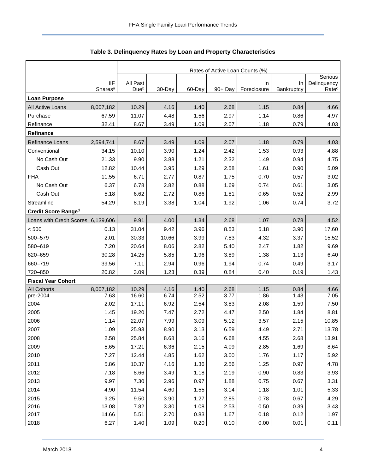<span id="page-4-0"></span>

|                           |                                   | Rates of Active Loan Counts (%) |        |        |         |                   |                  |                                  |  |  |  |
|---------------------------|-----------------------------------|---------------------------------|--------|--------|---------|-------------------|------------------|----------------------------------|--|--|--|
|                           |                                   |                                 |        |        |         |                   |                  |                                  |  |  |  |
|                           | <b>IIF</b><br>Shares <sup>a</sup> | All Past<br>Dueb                | 30-Day | 60-Day | 90+ Day | In<br>Foreclosure | In<br>Bankruptcy | Delinquency<br>Rate <sup>c</sup> |  |  |  |
| <b>Loan Purpose</b>       |                                   |                                 |        |        |         |                   |                  |                                  |  |  |  |
| All Active Loans          | 8,007,182                         | 10.29                           | 4.16   | 1.40   | 2.68    | 1.15              | 0.84             | 4.66                             |  |  |  |
| Purchase                  | 67.59                             | 11.07                           | 4.48   | 1.56   | 2.97    | 1.14              | 0.86             | 4.97                             |  |  |  |
| Refinance                 | 32.41                             | 8.67                            | 3.49   | 1.09   | 2.07    | 1.18              | 0.79             | 4.03                             |  |  |  |
| Refinance                 |                                   |                                 |        |        |         |                   |                  |                                  |  |  |  |
| Refinance Loans           | 2,594,741                         | 8.67                            | 3.49   | 1.09   | 2.07    | 1.18              | 0.79             | 4.03                             |  |  |  |
| Conventional              | 34.15                             | 10.10                           | 3.90   | 1.24   | 2.42    | 1.53              | 0.93             | 4.88                             |  |  |  |
| No Cash Out               | 21.33                             | 9.90                            | 3.88   | 1.21   | 2.32    | 1.49              | 0.94             | 4.75                             |  |  |  |
| Cash Out                  | 12.82                             | 10.44                           | 3.95   | 1.29   | 2.58    | 1.61              | 0.90             | 5.09                             |  |  |  |
| <b>FHA</b>                | 11.55                             | 6.71                            | 2.77   | 0.87   | 1.75    | 0.70              | 0.57             | 3.02                             |  |  |  |
| No Cash Out               | 6.37                              | 6.78                            | 2.82   | 0.88   | 1.69    | 0.74              | 0.61             | 3.05                             |  |  |  |
| Cash Out                  | 5.18                              | 6.62                            | 2.72   | 0.86   | 1.81    | 0.65              | 0.52             | 2.99                             |  |  |  |
| Streamline                | 54.29                             | 8.19                            | 3.38   | 1.04   | 1.92    | 1.06              | 0.74             | 3.72                             |  |  |  |
| Credit Score Ranged       |                                   |                                 |        |        |         |                   |                  |                                  |  |  |  |
| Loans with Credit Scores  | 6,139,606                         | 9.91                            | 4.00   | 1.34   | 2.68    | 1.07              | 0.78             | 4.52                             |  |  |  |
| $<500$                    | 0.13                              | 31.04                           | 9.42   | 3.96   | 8.53    | 5.18              | 3.90             | 17.60                            |  |  |  |
| 500-579                   | 2.01                              | 30.33                           | 10.66  | 3.99   | 7.83    | 4.32              | 3.37             | 15.52                            |  |  |  |
| 580-619                   | 7.20                              | 20.64                           | 8.06   | 2.82   | 5.40    | 2.47              | 1.82             | 9.69                             |  |  |  |
| 620-659                   | 30.28                             | 14.25                           | 5.85   | 1.96   | 3.89    | 1.38              | 1.13             | 6.40                             |  |  |  |
| 660-719                   | 39.56                             | 7.11                            | 2.94   | 0.96   | 1.94    | 0.74              | 0.49             | 3.17                             |  |  |  |
| 720-850                   | 20.82                             | 3.09                            | 1.23   | 0.39   | 0.84    | 0.40              | 0.19             | 1.43                             |  |  |  |
| <b>Fiscal Year Cohort</b> |                                   |                                 |        |        |         |                   |                  |                                  |  |  |  |
| <b>All Cohorts</b>        | 8,007,182                         | 10.29                           | 4.16   | 1.40   | 2.68    | 1.15              | 0.84             | 4.66                             |  |  |  |
| pre-2004                  | 7.63                              | 16.60                           | 6.74   | 2.52   | 3.77    | 1.86              | 1.43             | 7.05                             |  |  |  |
| 2004                      | 2.02                              | 17.11                           | 6.92   | 2.54   | 3.83    | 2.08              | 1.59             | 7.50                             |  |  |  |
| 2005                      | 1.45                              | 19.20                           | 7.47   | 2.72   | 4.47    | 2.50              | 1.84             | 8.81                             |  |  |  |
| 2006                      | 1.14                              | 22.07                           | 7.99   | 3.09   | 5.12    | 3.57              | 2.15             | 10.85                            |  |  |  |
| 2007                      | 1.09                              | 25.93                           | 8.90   | 3.13   | 6.59    | 4.49              | 2.71             | 13.78                            |  |  |  |
| 2008                      | 2.58                              | 25.84                           | 8.68   | 3.16   | 6.68    | 4.55              | 2.68             | 13.91                            |  |  |  |
| 2009                      | 5.65                              | 17.21                           | 6.36   | 2.15   | 4.09    | 2.85              | 1.69             | 8.64                             |  |  |  |
| 2010                      | 7.27                              | 12.44                           | 4.85   | 1.62   | 3.00    | 1.76              | 1.17             | 5.92                             |  |  |  |
| 2011                      | 5.86                              | 10.37                           | 4.16   | 1.36   | 2.56    | 1.25              | 0.97             | 4.78                             |  |  |  |
| 2012                      | 7.18                              | 8.66                            | 3.49   | 1.18   | 2.19    | 0.90              | 0.83             | 3.93                             |  |  |  |
| 2013                      | 9.97                              | 7.30                            | 2.96   | 0.97   | 1.88    | 0.75              | 0.67             | 3.31                             |  |  |  |
| 2014                      | 4.90                              | 11.54                           | 4.60   | 1.55   | 3.14    | 1.18              | 1.01             | 5.33                             |  |  |  |
| 2015                      | 9.25                              | 9.50                            | 3.90   | 1.27   | 2.85    | 0.78              | 0.67             | 4.29                             |  |  |  |
| 2016                      | 13.08                             | 7.82                            | 3.30   | 1.08   | 2.53    | 0.50              | 0.39             | 3.43                             |  |  |  |
| 2017                      | 14.66                             | 5.51                            | 2.70   | 0.83   | 1.67    | 0.18              | 0.12             | 1.97                             |  |  |  |
| 2018                      | 6.27                              | 1.40                            | 1.09   | 0.20   | 0.10    | 0.00              | 0.01             | 0.11                             |  |  |  |

## **Table 3. Delinquency Rates by Loan and Property Characteristics**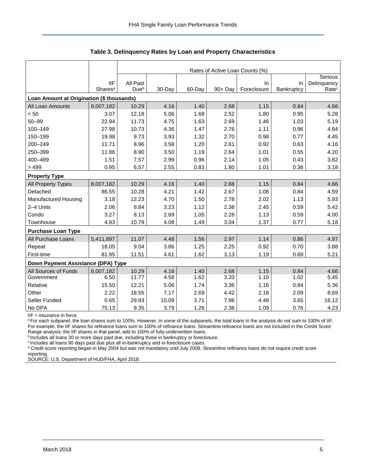|                                           |                                   | Rates of Active Loan Counts (%) |        |        |         |                   |                  |                                  |  |  |  |
|-------------------------------------------|-----------------------------------|---------------------------------|--------|--------|---------|-------------------|------------------|----------------------------------|--|--|--|
|                                           |                                   |                                 |        |        |         |                   |                  | Serious                          |  |  |  |
|                                           | <b>IIF</b><br>Shares <sup>a</sup> | All Past<br>Due <sup>b</sup>    | 30-Day | 60-Day | 90+ Day | In<br>Foreclosure | In<br>Bankruptcy | Delinquency<br>Rate <sup>c</sup> |  |  |  |
| Loan Amount at Origination (\$ thousands) |                                   |                                 |        |        |         |                   |                  |                                  |  |  |  |
| All Loan Amounts                          | 8,007,182                         | 10.29                           | 4.16   | 1.40   | 2.68    | 1.15              | 0.84             | 4.66                             |  |  |  |
| < 50                                      | 3.07                              | 12.18                           | 5.06   | 1.68   | 2.52    | 1.80              | 0.95             | 5.28                             |  |  |  |
| $50 - 99$                                 | 22.94                             | 11.73                           | 4.75   | 1.63   | 2.69    | 1.46              | 1.03             | 5.19                             |  |  |  |
| 100-149                                   | 27.98                             | 10.73                           | 4.36   | 1.47   | 2.76    | 1.11              | 0.96             | 4.84                             |  |  |  |
| 150-199                                   | 19.98                             | 9.73                            | 3.93   | 1.32   | 2.70    | 0.98              | 0.77             | 4.45                             |  |  |  |
| 200-249                                   | 11.71                             | 8.96                            | 3.58   | 1.20   | 2.61    | 0.92              | 0.63             | 4.16                             |  |  |  |
| 250-399                                   | 11.86                             | 8.90                            | 3.50   | 1.19   | 2.64    | 1.01              | 0.55             | 4.20                             |  |  |  |
| 400-499                                   | 1.51                              | 7.57                            | 2.99   | 0.96   | 2.14    | 1.05              | 0.43             | 3.62                             |  |  |  |
| > 499                                     | 0.95                              | 6.57                            | 2.55   | 0.83   | 1.80    | 1.01              | 0.36             | 3.18                             |  |  |  |
| <b>Property Type</b>                      |                                   |                                 |        |        |         |                   |                  |                                  |  |  |  |
| All Property Types                        | 8,007,182                         | 10.29                           | 4.16   | 1.40   | 2.68    | 1.15              | 0.84             | 4.66                             |  |  |  |
| Detached                                  | 86.55                             | 10.28                           | 4.21   | 1.42   | 2.67    | 1.08              | 0.84             | 4.59                             |  |  |  |
| Manufactured Housing                      | 3.18                              | 12.23                           | 4.70   | 1.50   | 2.78    | 2.02              | 1.13             | 5.93                             |  |  |  |
| 2-4 Units                                 | 2.06                              | 9.84                            | 3.23   | 1.12   | 2.38    | 2.45              | 0.59             | 5.42                             |  |  |  |
| Condo                                     | 3.27                              | 8.13                            | 2.89   | 1.05   | 2.28    | 1.13              | 0.59             | 4.00                             |  |  |  |
| Townhouse                                 | 4.93                              | 10.79                           | 4.08   | 1.49   | 3.04    | 1.37              | 0.77             | 5.18                             |  |  |  |
| <b>Purchase Loan Type</b>                 |                                   |                                 |        |        |         |                   |                  |                                  |  |  |  |
| All Purchase Loans                        | 5,411,897                         | 11.07                           | 4.48   | 1.56   | 2.97    | 1.14              | 0.86             | 4.97                             |  |  |  |
| Repeat                                    | 18.05                             | 9.04                            | 3.86   | 1.25   | 2.25    | 0.92              | 0.70             | 3.88                             |  |  |  |
| First-time                                | 81.95                             | 11.51                           | 4.61   | 1.62   | 3.13    | 1.19              | 0.89             | 5.21                             |  |  |  |
| Down Payment Assistance (DPA) Type        |                                   |                                 |        |        |         |                   |                  |                                  |  |  |  |
| All Sources of Funds                      | 8,007,182                         | 10.29                           | 4.16   | 1.40   | 2.68    | 1.15              | 0.84             | 4.66                             |  |  |  |
| Government                                | 6.50                              | 11.77                           | 4.58   | 1.62   | 3.33    | 1.10              | 1.02             | 5.45                             |  |  |  |
| Relative                                  | 15.50                             | 12.21                           | 5.06   | 1.74   | 3.36    | 1.16              | 0.84             | 5.36                             |  |  |  |
| Other                                     | 2.22                              | 18.55                           | 7.17   | 2.69   | 4.42    | 2.18              | 2.09             | 8.69                             |  |  |  |
| Seller Funded                             | 0.65                              | 29.93                           | 10.09  | 3.71   | 7.98    | 4.48              | 3.65             | 16.12                            |  |  |  |
| No DPA                                    | 75.13                             | 9.35                            | 3.79   | 1.26   | 2.38    | 1.09              | 0.76             | 4.23                             |  |  |  |

**Table 3. Delinquency Rates by Loan and Property Characteristics**

IIF = insurance in force.

a For each subpanel, the loan shares sum to 100%. However, in some of the subpanels, the total loans in the analysis do not sum to 100% of IIF. For example, the IIF shares for refinance loans sum to 100% of refinance loans. Streamline refinance loans are not included in the Credit Score Range analysis; the IIF shares in that panel, add to 100% of fully-underwritten loans.

**b** Includes all loans 30 or more days past due, including those in bankruptcy or foreclosure.

<sup>c</sup> Includes all loans 90 days past due plus all in-bankruptcy and in-foreclosure cases.

<sup>d</sup> Credit score reporting began in May 2004 but was not mandatory until July 2008. Streamline refinance loans do not require credit score reporting.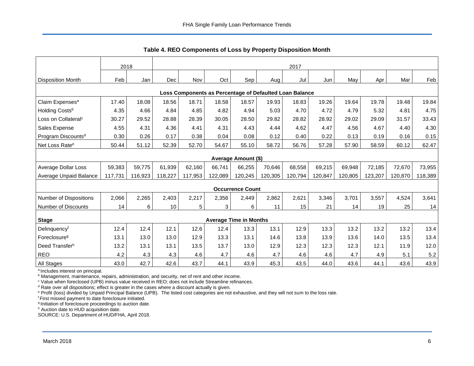<span id="page-6-0"></span>

|                                                         |         |         |         |         |         |                               |         | <b>Table 4. INLO Components of Loss by Floperty Disposition Month</b> |         |         |         |         |         |
|---------------------------------------------------------|---------|---------|---------|---------|---------|-------------------------------|---------|-----------------------------------------------------------------------|---------|---------|---------|---------|---------|
|                                                         | 2018    |         | 2017    |         |         |                               |         |                                                                       |         |         |         |         |         |
| Disposition Month                                       | Feb     | Jan     | Dec     | Nov     | Oct     | Sep'                          | Aug     | Jul                                                                   | Jun     | May     | Apr     | Mar     | Feb     |
| Loss Components as Percentage of Defaulted Loan Balance |         |         |         |         |         |                               |         |                                                                       |         |         |         |         |         |
| Claim Expenses <sup>a</sup>                             | 17.40   | 18.08   | 18.56   | 18.71   | 18.58   | 18.57                         | 19.93   | 18.83                                                                 | 19.26   | 19.64   | 19.78   | 19.48   | 19.84   |
| Holding Costsb                                          | 4.35    | 4.66    | 4.84    | 4.85    | 4.82    | 4.94                          | 5.03    | 4.70                                                                  | 4.72    | 4.79    | 5.32    | 4.81    | 4.75    |
| Loss on Collateral <sup>c</sup>                         | 30.27   | 29.52   | 28.88   | 28.39   | 30.05   | 28.50                         | 29.82   | 28.82                                                                 | 28.92   | 29.02   | 29.09   | 31.57   | 33.43   |
| Sales Expense                                           | 4.55    | 4.31    | 4.36    | 4.41    | 4.31    | 4.43                          | 4.44    | 4.62                                                                  | 4.47    | 4.56    | 4.67    | 4.40    | 4.30    |
| Program Discounts <sup>d</sup>                          | 0.30    | 0.26    | 0.17    | 0.38    | 0.04    | 0.08                          | 0.12    | 0.40                                                                  | 0.22    | 0.13    | 0.19    | 0.16    | 0.15    |
| Net Loss Rate <sup>e</sup>                              | 50.44   | 51.12   | 52.39   | 52.70   | 54.67   | 55.10                         | 58.72   | 56.76                                                                 | 57.28   | 57.90   | 58.59   | 60.12   | 62.47   |
|                                                         |         |         |         |         |         | <b>Average Amount (\$)</b>    |         |                                                                       |         |         |         |         |         |
| Average Dollar Loss                                     | 59,383  | 59,775  | 61,939  | 62,160  | 66,741  | 66,255                        | 70.646  | 68,558                                                                | 69,215  | 69,948  | 72,185  | 72,670  | 73,955  |
| <b>Average Unpaid Balance</b>                           | 117,731 | 116,923 | 118,227 | 117.953 | 122,089 | 120,245                       | 120,305 | 120,794                                                               | 120,847 | 120,805 | 123,207 | 120,870 | 118,389 |
|                                                         |         |         |         |         |         | <b>Occurrence Count</b>       |         |                                                                       |         |         |         |         |         |
| <b>Number of Dispositions</b>                           | 2,066   | 2,265   | 2,403   | 2,217   | 2,356   | 2,449                         | 2,862   | 2,621                                                                 | 3,346   | 3,701   | 3,557   | 4,524   | 3,641   |
| Number of Discounts                                     | 14      | 6       | 10      | 5       | 3       | 6                             | 11      | 15                                                                    | 21      | 14      | 19      | 25      | 14      |
| <b>Stage</b>                                            |         |         |         |         |         | <b>Average Time in Months</b> |         |                                                                       |         |         |         |         |         |
| Delinquencyf                                            | 12.4    | 12.4    | 12.1    | 12.6    | 12.4    | 13.3                          | 13.1    | 12.9                                                                  | 13.3    | 13.2    | 13.2    | 13.2    | 13.4    |
| Foreclosure <sup>g</sup>                                | 13.1    | 13.0    | 13.0    | 12.9    | 13.3    | 13.1                          | 14.6    | 13.8                                                                  | 13.9    | 13.6    | 14.0    | 13.5    | 13.4    |
| Deed Transferh                                          | 13.2    | 13.1    | 13.1    | 13.5    | 13.7    | 13.0                          | 12.9    | 12.3                                                                  | 12.3    | 12.3    | 12.1    | 11.9    | 12.0    |
| <b>REO</b>                                              | 4.2     | 4.3     | 4.3     | 4.6     | 4.7     | 4.6                           | 4.7     | 4.6                                                                   | 4.6     | 4.7     | 4.9     | 5.1     | 5.2     |
| <b>All Stages</b>                                       | 43.0    | 42.7    | 42.6    | 43.7    | 44.1    | 43.9                          | 45.3    | 43.5                                                                  | 44.0    | 43.6    | 44.1    | 43.6    | 43.9    |

**Table 4. REO Components of Loss by Property Disposition Month**

<sup>a</sup> Includes interest on principal.

b Management, maintenance, repairs, administration, and security, net of rent and other income.

<sup>c</sup> Value when foreclosed (UPB) minus value received in REO; does not include Streamline refinances.

 $d$  Rate over all dispositions; effect is greater in the cases where a discount actually is given.

<sup>e</sup> Profit (loss) divided by Unpaid Principal Balance (UPB). The listed cost categories are not exhaustive, and they will not sum to the loss rate.

<sup>f</sup> First missed payment to date foreclosure initiated.

<sup>g</sup> Initiation of foreclosure proceedings to auction date.

h Auction date to HUD acquisition date.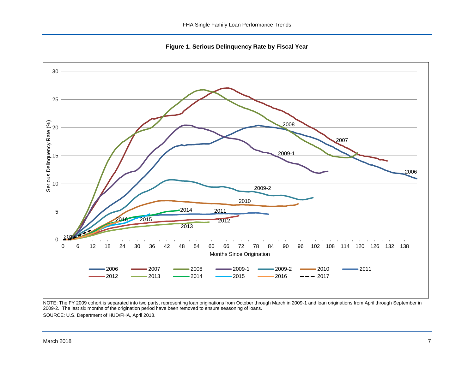**Figure 1. Serious Delinquency Rate by Fiscal Year**

<span id="page-7-0"></span>

NOTE: The FY 2009 cohort is separated into two parts, representing loan originations from October through March in 2009-1 and loan originations from April through September in 2009-2. The last six months of the origination period have been removed to ensure seasoning of loans. SOURCE: U.S. Department of HUD/FHA, April 2018.